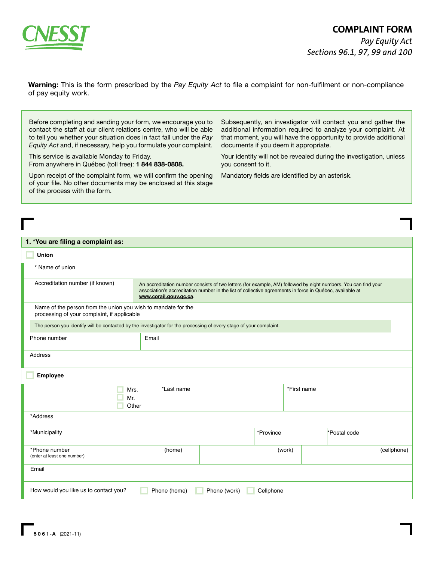

**Warning:** This is the form prescribed by the *Pay Equity Act* to file a complaint for non-fulfilment or non-compliance of pay equity work.

Before completing and sending your form, we encourage you to contact the staff at our client relations centre, who will be able to tell you whether your situation does in fact fall under the *Pay Equity Act* and, if necessary, help you formulate your complaint.

This service is available Monday to Friday. From anywhere in Québec (toll free): **1 844 838-0808.**

Upon receipt of the complaint form, we will confirm the opening of your file. No other documents may be enclosed at this stage of the process with the form.

Subsequently, an investigator will contact you and gather the additional information required to analyze your complaint. At that moment, you will have the opportunity to provide additional documents if you deem it appropriate.

Your identity will not be revealed during the investigation, unless you consent to it.

Mandatory fields are identified by an asterisk.

| 1. *You are filing a complaint as:                                                                                 |                                                                                                                                                                                                                                                      |  |             |  |              |
|--------------------------------------------------------------------------------------------------------------------|------------------------------------------------------------------------------------------------------------------------------------------------------------------------------------------------------------------------------------------------------|--|-------------|--|--------------|
| Union                                                                                                              |                                                                                                                                                                                                                                                      |  |             |  |              |
| * Name of union                                                                                                    |                                                                                                                                                                                                                                                      |  |             |  |              |
| Accreditation number (if known)                                                                                    | An accreditation number consists of two letters (for example, AM) followed by eight numbers. You can find your<br>association's accreditation number in the list of collective agreements in force in Québec, available at<br>www.corail.gouv.qc.ca. |  |             |  |              |
| Name of the person from the union you wish to mandate for the<br>processing of your complaint, if applicable       |                                                                                                                                                                                                                                                      |  |             |  |              |
| The person you identify will be contacted by the investigator for the processing of every stage of your complaint. |                                                                                                                                                                                                                                                      |  |             |  |              |
| Phone number                                                                                                       | Email                                                                                                                                                                                                                                                |  |             |  |              |
| Address                                                                                                            |                                                                                                                                                                                                                                                      |  |             |  |              |
| Employee                                                                                                           |                                                                                                                                                                                                                                                      |  |             |  |              |
|                                                                                                                    | *Last name<br>Mrs.<br>Mr.<br>Other                                                                                                                                                                                                                   |  | *First name |  |              |
| *Address                                                                                                           |                                                                                                                                                                                                                                                      |  |             |  |              |
| *Municipality                                                                                                      |                                                                                                                                                                                                                                                      |  | *Province   |  | *Postal code |
| *Phone number<br>(enter at least one number)                                                                       | (home)                                                                                                                                                                                                                                               |  | (work)      |  | (cellphone)  |
| Email                                                                                                              |                                                                                                                                                                                                                                                      |  |             |  |              |
| How would you like us to contact you?<br>Phone (home)<br>Phone (work)<br>Cellphone                                 |                                                                                                                                                                                                                                                      |  |             |  |              |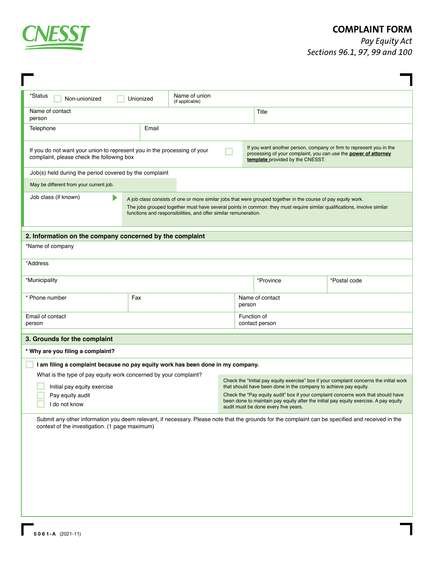

## **COMPLAINT FORM**

ŧ

*Pay Equity Act Sections 96.1, 97, 99 and 100*

| $*$ Status<br>Name of union<br>Unionized<br>Non-unionized<br>(if applicable)                                                                                                                                                                                                                                                        |       |                                                                                                                                                       |                                                                                                                              |                                                                                         |  |
|-------------------------------------------------------------------------------------------------------------------------------------------------------------------------------------------------------------------------------------------------------------------------------------------------------------------------------------|-------|-------------------------------------------------------------------------------------------------------------------------------------------------------|------------------------------------------------------------------------------------------------------------------------------|-----------------------------------------------------------------------------------------|--|
| Name of contact<br>person                                                                                                                                                                                                                                                                                                           |       |                                                                                                                                                       | Title                                                                                                                        |                                                                                         |  |
| Telephone                                                                                                                                                                                                                                                                                                                           | Email |                                                                                                                                                       |                                                                                                                              |                                                                                         |  |
| If you want another person, company or firm to represent you in the<br>If you do not want your union to represent you in the processing of your<br>processing of your complaint, you can use the power of attorney<br>complaint, please check the following box<br>template provided by the CNESST.                                 |       |                                                                                                                                                       |                                                                                                                              |                                                                                         |  |
| Job(s) held during the period covered by the complaint                                                                                                                                                                                                                                                                              |       |                                                                                                                                                       |                                                                                                                              |                                                                                         |  |
| May be different from your current job.                                                                                                                                                                                                                                                                                             |       |                                                                                                                                                       |                                                                                                                              |                                                                                         |  |
| Job class (if known)<br>A job class consists of one or more similar jobs that were grouped together in the course of pay equity work.<br>The jobs grouped together must have several points in common: they must require similar qualifications, involve similar<br>functions and responsibilities, and offer similar remuneration. |       |                                                                                                                                                       |                                                                                                                              |                                                                                         |  |
| 2. Information on the company concerned by the complaint                                                                                                                                                                                                                                                                            |       |                                                                                                                                                       |                                                                                                                              |                                                                                         |  |
| *Name of company                                                                                                                                                                                                                                                                                                                    |       |                                                                                                                                                       |                                                                                                                              |                                                                                         |  |
| *Address                                                                                                                                                                                                                                                                                                                            |       |                                                                                                                                                       |                                                                                                                              |                                                                                         |  |
| *Municipality                                                                                                                                                                                                                                                                                                                       |       |                                                                                                                                                       | *Province                                                                                                                    | *Postal code                                                                            |  |
| * Phone number                                                                                                                                                                                                                                                                                                                      | Fax   |                                                                                                                                                       | Name of contact<br>person                                                                                                    |                                                                                         |  |
| Email of contact<br>person                                                                                                                                                                                                                                                                                                          |       |                                                                                                                                                       | Function of<br>contact person                                                                                                |                                                                                         |  |
| 3. Grounds for the complaint                                                                                                                                                                                                                                                                                                        |       |                                                                                                                                                       |                                                                                                                              |                                                                                         |  |
| * Why are you filing a complaint?                                                                                                                                                                                                                                                                                                   |       |                                                                                                                                                       |                                                                                                                              |                                                                                         |  |
| I am filing a complaint because no pay equity work has been done in my company.                                                                                                                                                                                                                                                     |       |                                                                                                                                                       |                                                                                                                              |                                                                                         |  |
| What is the type of pay equity work concerned by your complaint?                                                                                                                                                                                                                                                                    |       |                                                                                                                                                       |                                                                                                                              | Check the "Initial pay equity exercise" box if your complaint concerns the initial work |  |
| Initial pay equity exercise                                                                                                                                                                                                                                                                                                         |       | that should have been done in the company to achieve pay equity.<br>Check the "Pay equity audit" box if your complaint concerns work that should have |                                                                                                                              |                                                                                         |  |
| Pay equity audit<br>I do not know                                                                                                                                                                                                                                                                                                   |       |                                                                                                                                                       | been done to maintain pay equity after the initial pay equity exercise. A pay equity<br>audit must be done every five years. |                                                                                         |  |
| Submit any other information you deem relevant, if necessary. Please note that the grounds for the complaint can be specified and received in the<br>context of the investigation. (1 page maximum)                                                                                                                                 |       |                                                                                                                                                       |                                                                                                                              |                                                                                         |  |
|                                                                                                                                                                                                                                                                                                                                     |       |                                                                                                                                                       |                                                                                                                              |                                                                                         |  |
|                                                                                                                                                                                                                                                                                                                                     |       |                                                                                                                                                       |                                                                                                                              |                                                                                         |  |
|                                                                                                                                                                                                                                                                                                                                     |       |                                                                                                                                                       |                                                                                                                              |                                                                                         |  |
|                                                                                                                                                                                                                                                                                                                                     |       |                                                                                                                                                       |                                                                                                                              |                                                                                         |  |
|                                                                                                                                                                                                                                                                                                                                     |       |                                                                                                                                                       |                                                                                                                              |                                                                                         |  |
|                                                                                                                                                                                                                                                                                                                                     |       |                                                                                                                                                       |                                                                                                                              |                                                                                         |  |
|                                                                                                                                                                                                                                                                                                                                     |       |                                                                                                                                                       |                                                                                                                              |                                                                                         |  |
|                                                                                                                                                                                                                                                                                                                                     |       |                                                                                                                                                       |                                                                                                                              |                                                                                         |  |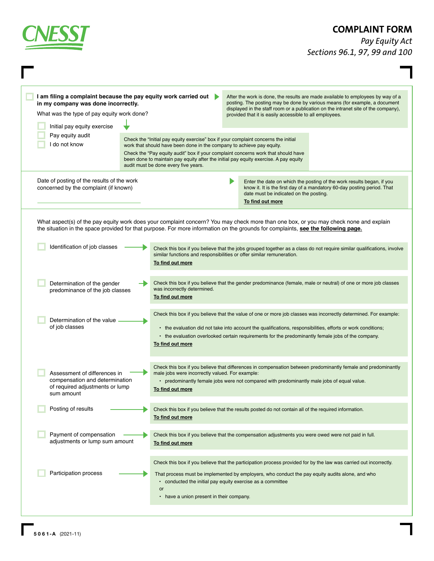| <b>CNESS</b>                                                                                                                                                                                                             |                                                                                                                                                                                                                                                                                                                                                                                  | <b>COMPLAINT FORM</b><br>Pay Equity Act<br>Sections 96.1, 97, 99 and 100                                                                                                                                                                                                                                                                                                                                                                                                                                                                                                                         |  |  |
|--------------------------------------------------------------------------------------------------------------------------------------------------------------------------------------------------------------------------|----------------------------------------------------------------------------------------------------------------------------------------------------------------------------------------------------------------------------------------------------------------------------------------------------------------------------------------------------------------------------------|--------------------------------------------------------------------------------------------------------------------------------------------------------------------------------------------------------------------------------------------------------------------------------------------------------------------------------------------------------------------------------------------------------------------------------------------------------------------------------------------------------------------------------------------------------------------------------------------------|--|--|
| I am filing a complaint because the pay equity work carried out<br>in my company was done incorrectly.<br>What was the type of pay equity work done?<br>Initial pay equity exercise<br>Pay equity audit<br>I do not know | Check the "Initial pay equity exercise" box if your complaint concerns the initial<br>work that should have been done in the company to achieve pay equity.<br>Check the "Pay equity audit" box if your complaint concerns work that should have<br>been done to maintain pay equity after the initial pay equity exercise. A pay equity<br>audit must be done every five years. | After the work is done, the results are made available to employees by way of a<br>posting. The posting may be done by various means (for example, a document<br>displayed in the staff room or a publication on the intranet site of the company),<br>provided that it is easily accessible to all employees.                                                                                                                                                                                                                                                                                   |  |  |
| Date of posting of the results of the work<br>concerned by the complaint (if known)                                                                                                                                      |                                                                                                                                                                                                                                                                                                                                                                                  | Enter the date on which the posting of the work results began, if you<br>know it. It is the first day of a mandatory 60-day posting period. That<br>date must be indicated on the posting.<br>To find out more                                                                                                                                                                                                                                                                                                                                                                                   |  |  |
| Identification of job classes<br>Determination of the gender<br>predominance of the job classes                                                                                                                          | To find out more<br>was incorrectly determined.<br>To find out more                                                                                                                                                                                                                                                                                                              | What aspect(s) of the pay equity work does your complaint concern? You may check more than one box, or you may check none and explain<br>the situation in the space provided for that purpose. For more information on the grounds for complaints, see the following page.<br>Check this box if you believe that the jobs grouped together as a class do not require similar qualifications, involve<br>similar functions and responsibilities or offer similar remuneration.<br>Check this box if you believe that the gender predominance (female, male or neutral) of one or more job classes |  |  |
| Determination of the value<br>of job classes                                                                                                                                                                             | To find out more                                                                                                                                                                                                                                                                                                                                                                 | Check this box if you believe that the value of one or more job classes was incorrectly determined. For example:<br>• the evaluation did not take into account the qualifications, responsibilities, efforts or work conditions;<br>• the evaluation overlooked certain requirements for the predominantly female jobs of the company.                                                                                                                                                                                                                                                           |  |  |
| Assessment of differences in<br>compensation and determination<br>of required adjustments or lump<br>sum amount                                                                                                          | To find out more                                                                                                                                                                                                                                                                                                                                                                 | Check this box if you believe that differences in compensation between predominantly female and predominantly<br>male jobs were incorrectly valued. For example:<br>• predominantly female jobs were not compared with predominantly male jobs of equal value.                                                                                                                                                                                                                                                                                                                                   |  |  |
| Posting of results                                                                                                                                                                                                       | To find out more                                                                                                                                                                                                                                                                                                                                                                 | Check this box if you believe that the results posted do not contain all of the required information.                                                                                                                                                                                                                                                                                                                                                                                                                                                                                            |  |  |
| Payment of compensation<br>adjustments or lump sum amount                                                                                                                                                                | To find out more                                                                                                                                                                                                                                                                                                                                                                 | Check this box if you believe that the compensation adjustments you were owed were not paid in full.                                                                                                                                                                                                                                                                                                                                                                                                                                                                                             |  |  |
| Participation process                                                                                                                                                                                                    | or<br>• have a union present in their company.                                                                                                                                                                                                                                                                                                                                   | Check this box if you believe that the participation process provided for by the law was carried out incorrectly.<br>That process must be implemented by employers, who conduct the pay equity audits alone, and who<br>• conducted the initial pay equity exercise as a committee                                                                                                                                                                                                                                                                                                               |  |  |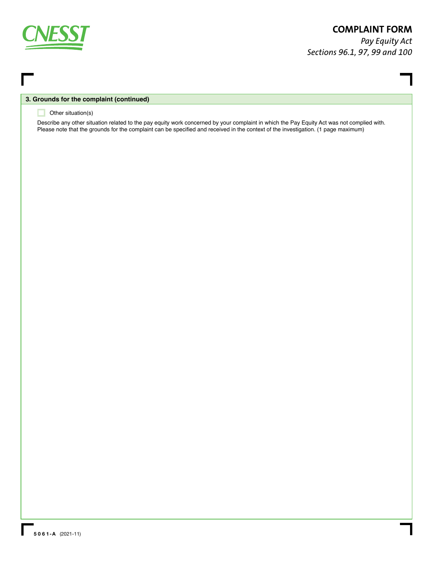

## **COMPLAINT FORM**

*Pay Equity Act Sections 96.1, 97, 99 and 100*

## **3. Grounds for the complaint (continued)**

## **Other situation(s)**

Describe any other situation related to the pay equity work concerned by your complaint in which the Pay Equity Act was not complied with. Please note that the grounds for the complaint can be specified and received in the context of the investigation. (1 page maximum)